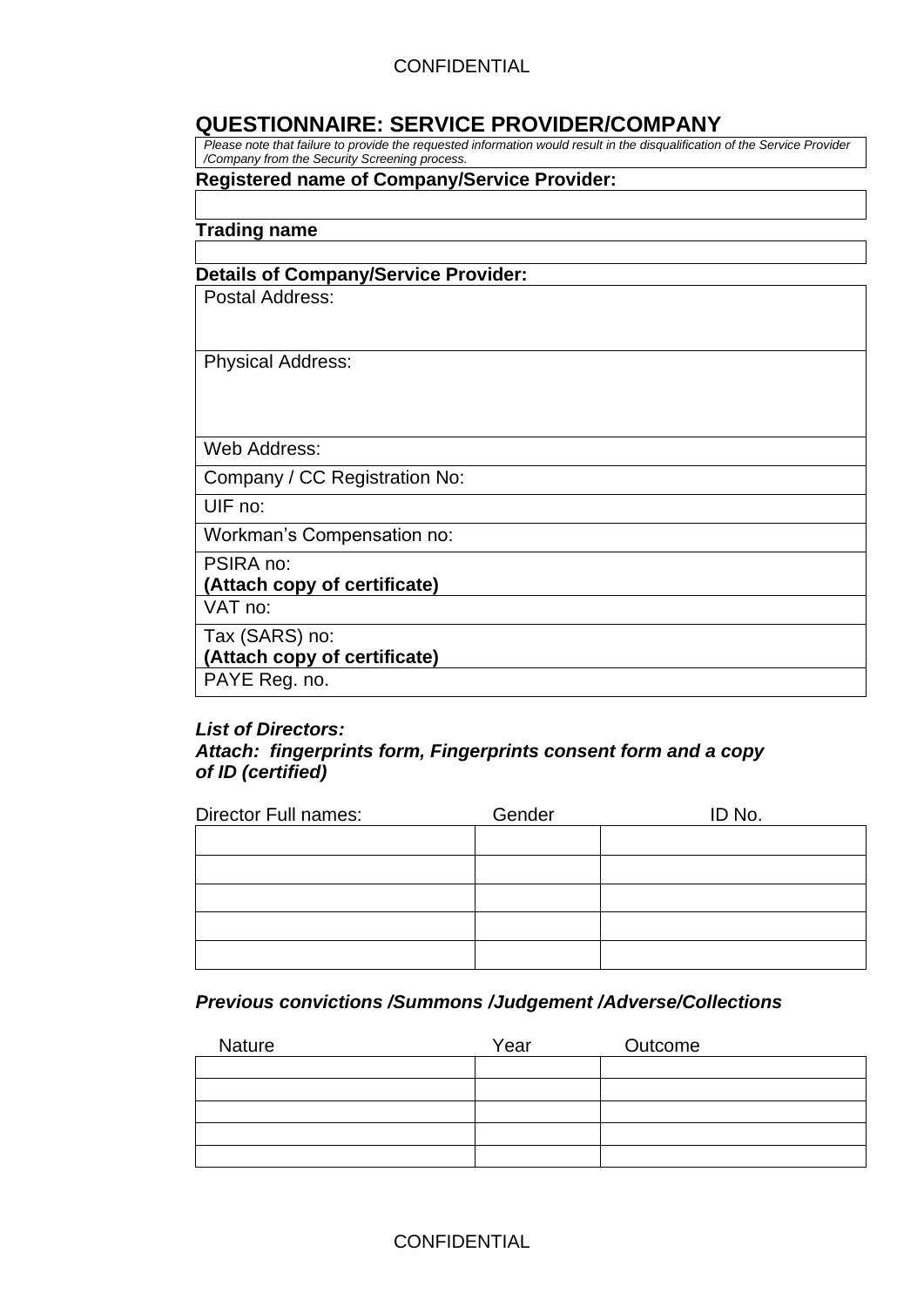## **QUESTIONNAIRE: SERVICE PROVIDER/COMPANY**

*Please note that failure to provide the requested information would result in the disqualification of the Service Provider /Company from the Security Screening process.*

### **Registered name of Company/Service Provider:**

**Trading name** 

#### **Details of Company/Service Provider:**

Postal Address:

Physical Address:

Web Address:

Company / CC Registration No:

UIF no:

Workman's Compensation no:

PSIRA no:

**(Attach copy of certificate)**

VAT no:

Tax (SARS) no:

**(Attach copy of certificate)**

PAYE Reg. no.

#### *List of Directors:*

### *Attach: fingerprints form, Fingerprints consent form and a copy of ID (certified)*

| <b>Director Full names:</b> | Gender | ID No. |
|-----------------------------|--------|--------|
|                             |        |        |
|                             |        |        |
|                             |        |        |
|                             |        |        |
|                             |        |        |

## *Previous convictions /Summons /Judgement /Adverse/Collections*

| <b>Nature</b> | Year | Outcome |
|---------------|------|---------|
|               |      |         |
|               |      |         |
|               |      |         |
|               |      |         |
|               |      |         |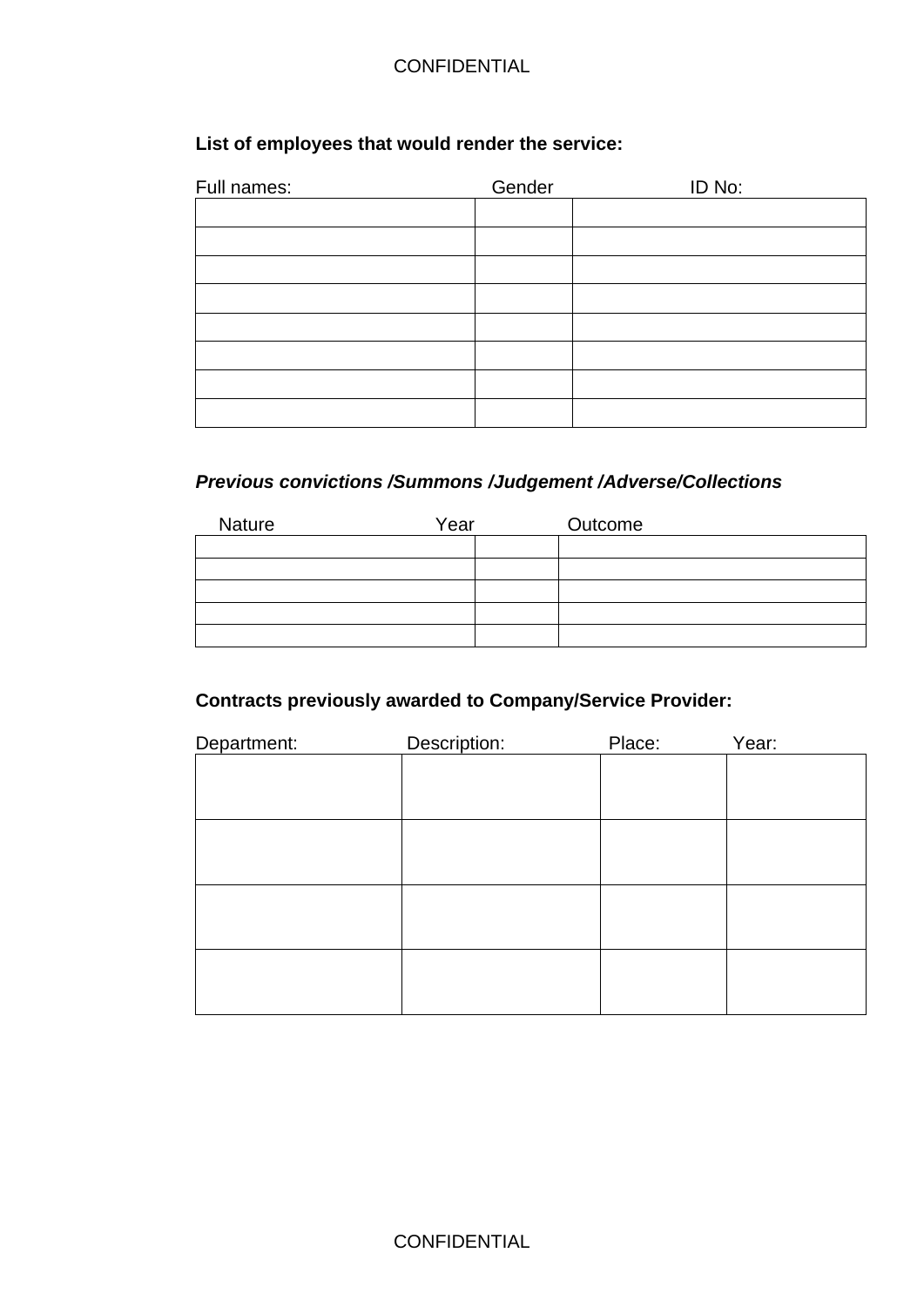## **List of employees that would render the service:**

| Full names: | Gender | ID No: |
|-------------|--------|--------|
|             |        |        |
|             |        |        |
|             |        |        |
|             |        |        |
|             |        |        |
|             |        |        |
|             |        |        |
|             |        |        |

## *Previous convictions /Summons /Judgement /Adverse/Collections*

| <b>Nature</b> | Year | Outcome |
|---------------|------|---------|
|               |      |         |
|               |      |         |
|               |      |         |
|               |      |         |
|               |      |         |

# **Contracts previously awarded to Company/Service Provider:**

| Department: | Description: | Place: | Year: |
|-------------|--------------|--------|-------|
|             |              |        |       |
|             |              |        |       |
|             |              |        |       |
|             |              |        |       |
|             |              |        |       |
|             |              |        |       |
|             |              |        |       |
|             |              |        |       |
|             |              |        |       |
|             |              |        |       |
|             |              |        |       |
|             |              |        |       |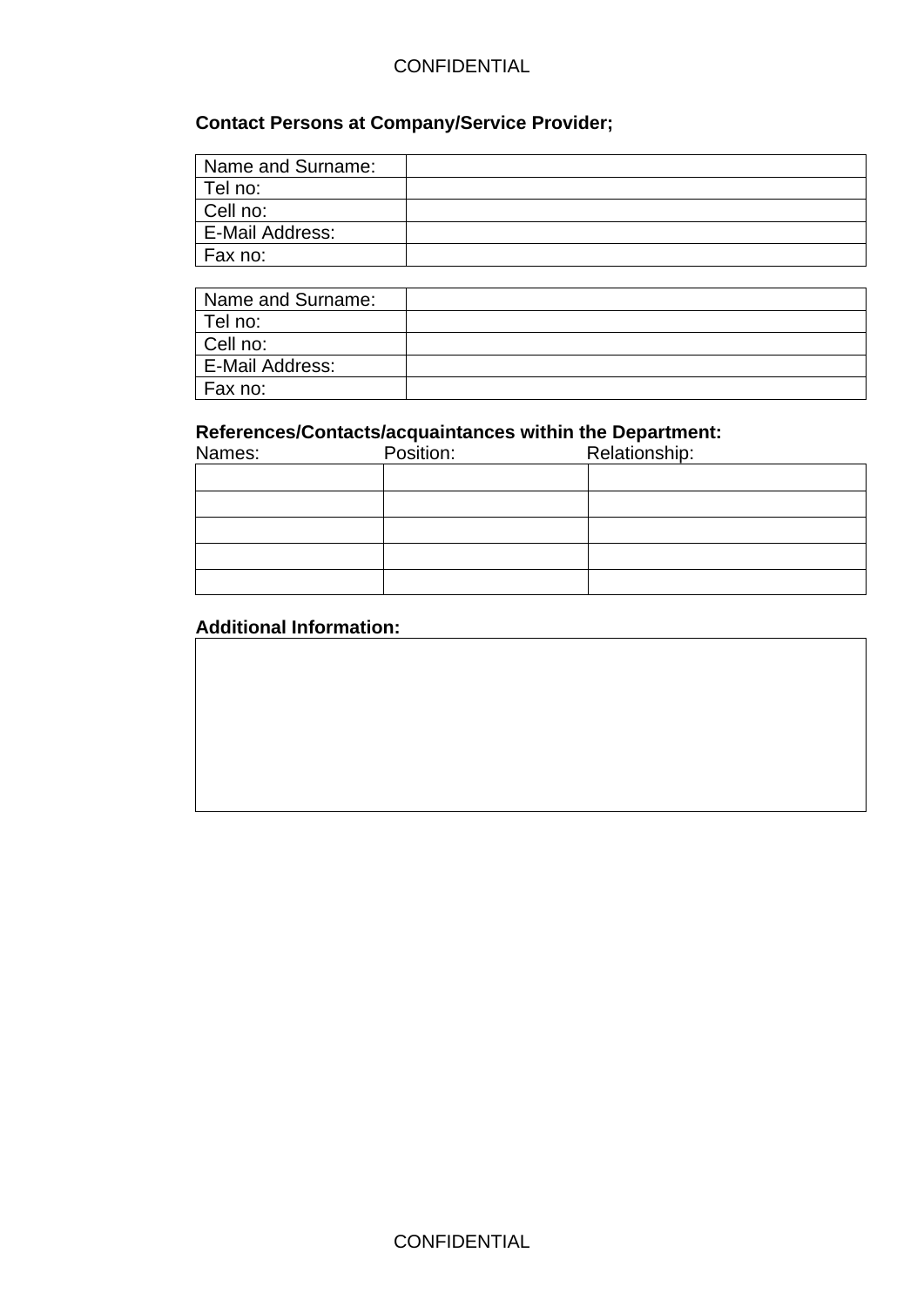# **Contact Persons at Company/Service Provider;**

| Name and Surname:      |  |
|------------------------|--|
| Tel no:                |  |
| Cell no:               |  |
| <b>E-Mail Address:</b> |  |
| Fax no:                |  |

| Name and Surname: |  |
|-------------------|--|
| Tel no:           |  |
| Cell no:          |  |
| E-Mail Address:   |  |
| Fax no:           |  |

## **References/Contacts/acquaintances within the Department:**

| Names: | Position: | Relationship: |  |  |  |  |  |  |
|--------|-----------|---------------|--|--|--|--|--|--|
|        |           |               |  |  |  |  |  |  |
|        |           |               |  |  |  |  |  |  |
|        |           |               |  |  |  |  |  |  |
|        |           |               |  |  |  |  |  |  |
|        |           |               |  |  |  |  |  |  |

# **Additional Information:**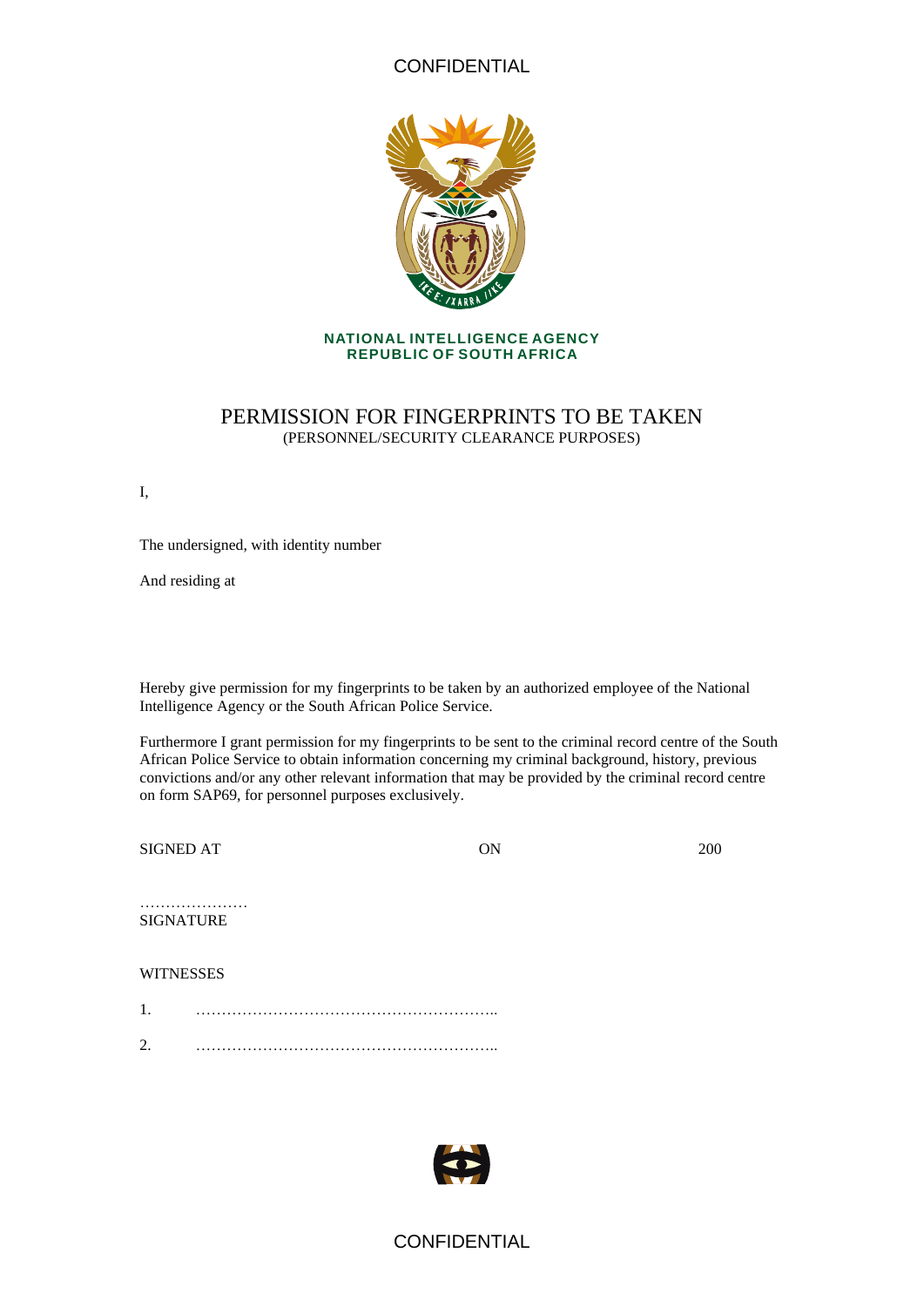

#### **NATIONAL INTELLIGENCE AGENCY REPUBLIC OF SOUTH AFRICA**

### PERMISSION FOR FINGERPRINTS TO BE TAKEN (PERSONNEL/SECURITY CLEARANCE PURPOSES)

I,

The undersigned, with identity number

And residing at

Hereby give permission for my fingerprints to be taken by an authorized employee of the National Intelligence Agency or the South African Police Service.

Furthermore I grant permission for my fingerprints to be sent to the criminal record centre of the South African Police Service to obtain information concerning my criminal background, history, previous convictions and/or any other relevant information that may be provided by the criminal record centre on form SAP69, for personnel purposes exclusively.

SIGNED AT 0N 200

#### ………………… SIGNATURE

#### **WITNESSES**

- 1. …………………………………………………..
- 2. …………………………………………………..



## **CONFIDENTIAL**